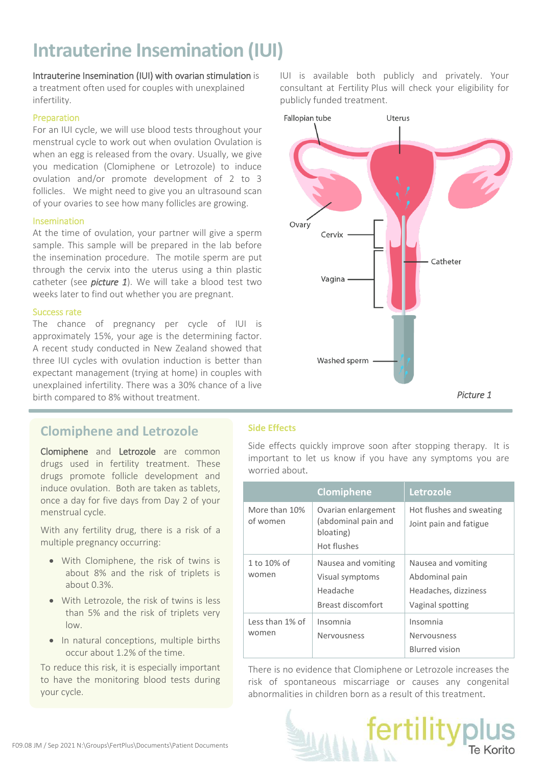## **Intrauterine Insemination (IUI)**

## Intrauterine Insemination (IUI) with ovarian stimulation is

a treatment often used for couples with unexplained infertility.

## Preparation

For an IUI cycle, we will use blood tests throughout your menstrual cycle to work out when ovulation Ovulation is when an egg is released from the ovary. Usually, we give you medication (Clomiphene or Letrozole) to induce ovulation and/or promote development of 2 to 3 follicles. We might need to give you an ultrasound scan of your ovaries to see how many follicles are growing.

## Insemination

At the time of ovulation, your partner will give a sperm sample. This sample will be prepared in the lab before the insemination procedure. The motile sperm are put through the cervix into the uterus using a thin plastic catheter (see *picture 1*). We will take a blood test two weeks later to find out whether you are pregnant.

## Success rate

The chance of pregnancy per cycle of IUI is approximately 15%, your age is the determining factor. A recent study conducted in New Zealand showed that three IUI cycles with ovulation induction is better than expectant management (trying at home) in couples with unexplained infertility. There was a 30% chance of a live birth compared to 8% without treatment.

## **Clomiphene and Letrozole**

Clomiphene and Letrozole are common drugs used in fertility treatment. These drugs promote follicle development and induce ovulation. Both are taken as tablets, once a day for five days from Day 2 of your menstrual cycle.

With any fertility drug, there is a risk of a multiple pregnancy occurring:

- With Clomiphene, the risk of twins is about 8% and the risk of triplets is about 0.3%.
- With Letrozole, the risk of twins is less than 5% and the risk of triplets very low.
- In natural conceptions, multiple births occur about 1.2% of the time.

To reduce this risk, it is especially important to have the monitoring blood tests during your cycle.

IUI is available both publicly and privately. Your consultant at Fertility Plus will check your eligibility for publicly funded treatment.



## **Side Effects**

Side effects quickly improve soon after stopping therapy. It is important to let us know if you have any symptoms you are worried about.

|                           | <b>Clomiphene</b>                                                       | Letrozole                                                                         |
|---------------------------|-------------------------------------------------------------------------|-----------------------------------------------------------------------------------|
| More than 10%<br>of women | Ovarian enlargement<br>(abdominal pain and<br>bloating)<br>Hot flushes  | Hot flushes and sweating<br>Joint pain and fatigue                                |
| 1 to 10% of<br>women      | Nausea and vomiting<br>Visual symptoms<br>Headache<br>Breast discomfort | Nausea and vomiting<br>Abdominal pain<br>Headaches, dizziness<br>Vaginal spotting |
| Less than 1% of<br>women  | Insomnia<br>Nervousness                                                 | Insomnia<br>Nervousness<br><b>Blurred vision</b>                                  |

There is no evidence that Clomiphene or Letrozole increases the risk of spontaneous miscarriage or causes any congenital abnormalities in children born as a result of this treatment.